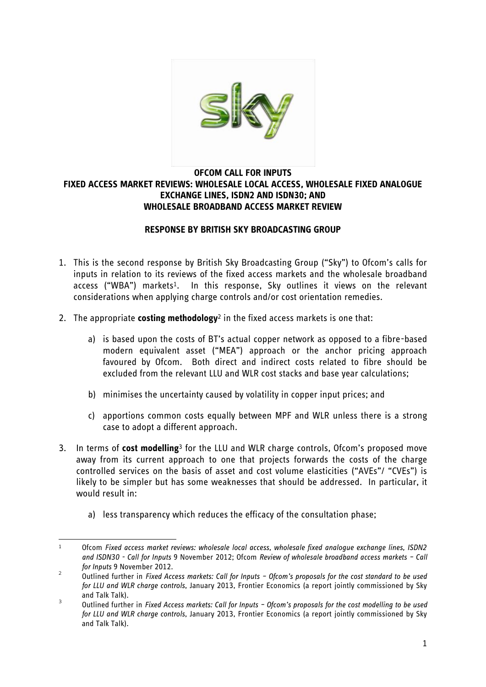

#### **OFCOM CALL FOR INPUTS FIXED ACCESS MARKET REVIEWS: WHOLESALE LOCAL ACCESS, WHOLESALE FIXED ANALOGUE EXCHANGE LINES, ISDN2 AND ISDN30; AND WHOLESALE BROADBAND ACCESS MARKET REVIEW**

### **RESPONSE BY BRITISH SKY BROADCASTING GROUP**

- 1. This is the second response by British Sky Broadcasting Group ("Sky") to Ofcom's calls for inputs in relation to its reviews of the fixed access markets and the wholesale broadband access ("WBA") markets<sup>1</sup>. In this response, Sky outlines it views on the relevant considerations when applying charge controls and/or cost orientation remedies.
- 2. The appropriate **costing methodology**<sup>2</sup> in the fixed access markets is one that:
	- a) is based upon the costs of BT's actual copper network as opposed to a fibre-based modern equivalent asset ("MEA") approach or the anchor pricing approach favoured by Ofcom. Both direct and indirect costs related to fibre should be excluded from the relevant LLU and WLR cost stacks and base year calculations;
	- b) minimises the uncertainty caused by volatility in copper input prices; and
	- c) apportions common costs equally between MPF and WLR unless there is a strong case to adopt a different approach.
- 3. In terms of **cost modelling**<sup>3</sup> for the LLU and WLR charge controls, Ofcom's proposed move away from its current approach to one that projects forwards the costs of the charge controlled services on the basis of asset and cost volume elasticities ("AVEs"/ "CVEs") is likely to be simpler but has some weaknesses that should be addressed. In particular, it would result in:
	- a) less transparency which reduces the efficacy of the consultation phase;

<sup>.</sup> <sup>1</sup> Ofcom *Fixed access market reviews: wholesale local access, wholesale fixed analogue exchange lines, ISDN2 and ISDN30 - Call for Inputs* 9 November 2012; Ofcom *Review of wholesale broadband access markets – Call for Inputs* 9 November 2012.

<sup>2</sup> Outlined further in *Fixed Access markets: Call for Inputs – Ofcom's proposals for the cost standard to be used for LLU and WLR charge controls*, January 2013, Frontier Economics (a report jointly commissioned by Sky and Talk Talk).

<sup>3</sup> Outlined further in *Fixed Access markets: Call for Inputs – Ofcom's proposals for the cost modelling to be used for LLU and WLR charge controls*, January 2013, Frontier Economics (a report jointly commissioned by Sky and Talk Talk).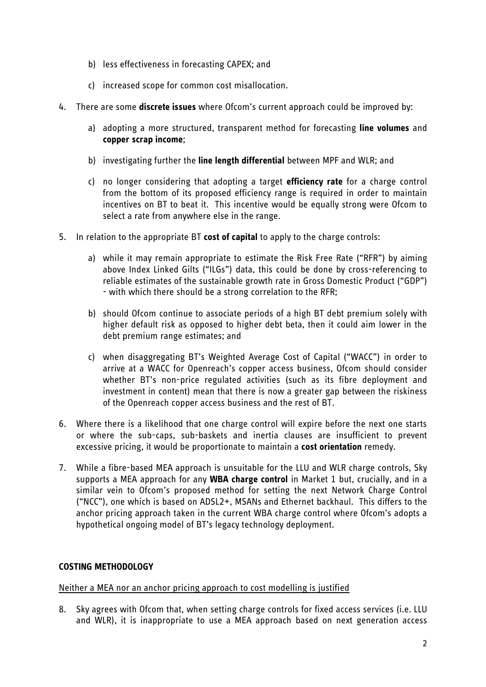- b) less effectiveness in forecasting CAPEX; and
- c) increased scope for common cost misallocation.
- 4. There are some **discrete issues** where Ofcom's current approach could be improved by:
	- a) adopting a more structured, transparent method for forecasting **line volumes** and **copper scrap income**;
	- b) investigating further the **line length differential** between MPF and WLR; and
	- c) no longer considering that adopting a target **efficiency rate** for a charge control from the bottom of its proposed efficiency range is required in order to maintain incentives on BT to beat it. This incentive would be equally strong were Ofcom to select a rate from anywhere else in the range.
- 5. In relation to the appropriate BT **cost of capital** to apply to the charge controls:
	- a) while it may remain appropriate to estimate the Risk Free Rate ("RFR") by aiming above Index Linked Gilts ("ILGs") data, this could be done by cross-referencing to reliable estimates of the sustainable growth rate in Gross Domestic Product ("GDP") - with which there should be a strong correlation to the RFR;
	- b) should Ofcom continue to associate periods of a high BT debt premium solely with higher default risk as opposed to higher debt beta, then it could aim lower in the debt premium range estimates; and
	- c) when disaggregating BT's Weighted Average Cost of Capital ("WACC") in order to arrive at a WACC for Openreach's copper access business, Ofcom should consider whether BT's non-price regulated activities (such as its fibre deployment and investment in content) mean that there is now a greater gap between the riskiness of the Openreach copper access business and the rest of BT.
- 6. Where there is a likelihood that one charge control will expire before the next one starts or where the sub-caps, sub-baskets and inertia clauses are insufficient to prevent excessive pricing, it would be proportionate to maintain a **cost orientation** remedy.
- 7. While a fibre-based MEA approach is unsuitable for the LLU and WLR charge controls, Sky supports a MEA approach for any **WBA charge control** in Market 1 but, crucially, and in a similar vein to Ofcom's proposed method for setting the next Network Charge Control ("NCC"), one which is based on ADSL2+, MSANs and Ethernet backhaul. This differs to the anchor pricing approach taken in the current WBA charge control where Ofcom's adopts a hypothetical ongoing model of BT's legacy technology deployment.

# **COSTING METHODOLOGY**

### Neither a MEA nor an anchor pricing approach to cost modelling is justified

8. Sky agrees with Ofcom that, when setting charge controls for fixed access services (i.e. LLU and WLR), it is inappropriate to use a MEA approach based on next generation access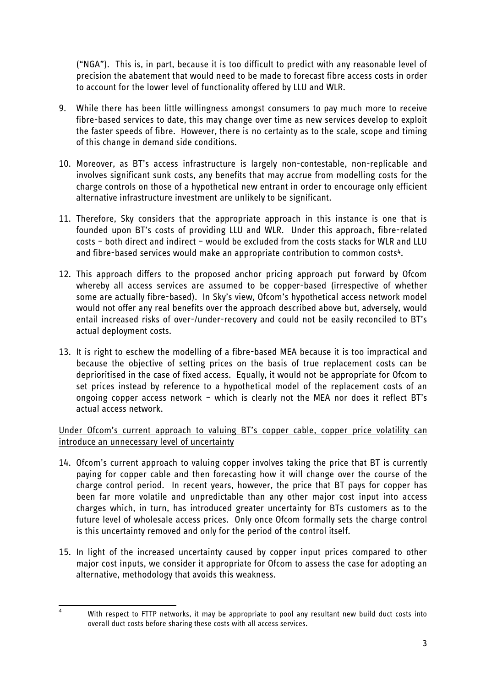("NGA"). This is, in part, because it is too difficult to predict with any reasonable level of precision the abatement that would need to be made to forecast fibre access costs in order to account for the lower level of functionality offered by LLU and WLR.

- 9. While there has been little willingness amongst consumers to pay much more to receive fibre-based services to date, this may change over time as new services develop to exploit the faster speeds of fibre. However, there is no certainty as to the scale, scope and timing of this change in demand side conditions.
- 10. Moreover, as BT's access infrastructure is largely non-contestable, non-replicable and involves significant sunk costs, any benefits that may accrue from modelling costs for the charge controls on those of a hypothetical new entrant in order to encourage only efficient alternative infrastructure investment are unlikely to be significant.
- 11. Therefore, Sky considers that the appropriate approach in this instance is one that is founded upon BT's costs of providing LLU and WLR. Under this approach, fibre-related costs – both direct and indirect – would be excluded from the costs stacks for WLR and LLU and fibre-based services would make an appropriate contribution to common costs<sup>4</sup>.
- 12. This approach differs to the proposed anchor pricing approach put forward by Ofcom whereby all access services are assumed to be copper-based (irrespective of whether some are actually fibre-based). In Sky's view, Ofcom's hypothetical access network model would not offer any real benefits over the approach described above but, adversely, would entail increased risks of over-/under-recovery and could not be easily reconciled to BT's actual deployment costs.
- 13. It is right to eschew the modelling of a fibre-based MEA because it is too impractical and because the objective of setting prices on the basis of true replacement costs can be deprioritised in the case of fixed access. Equally, it would not be appropriate for Ofcom to set prices instead by reference to a hypothetical model of the replacement costs of an ongoing copper access network – which is clearly not the MEA nor does it reflect BT's actual access network.

Under Ofcom's current approach to valuing BT's copper cable, copper price volatility can introduce an unnecessary level of uncertainty

- 14. Ofcom's current approach to valuing copper involves taking the price that BT is currently paying for copper cable and then forecasting how it will change over the course of the charge control period. In recent years, however, the price that BT pays for copper has been far more volatile and unpredictable than any other major cost input into access charges which, in turn, has introduced greater uncertainty for BTs customers as to the future level of wholesale access prices. Only once Ofcom formally sets the charge control is this uncertainty removed and only for the period of the control itself.
- 15. In light of the increased uncertainty caused by copper input prices compared to other major cost inputs, we consider it appropriate for Ofcom to assess the case for adopting an alternative, methodology that avoids this weakness.

 $\overline{4}$ 

With respect to FTTP networks, it may be appropriate to pool any resultant new build duct costs into overall duct costs before sharing these costs with all access services.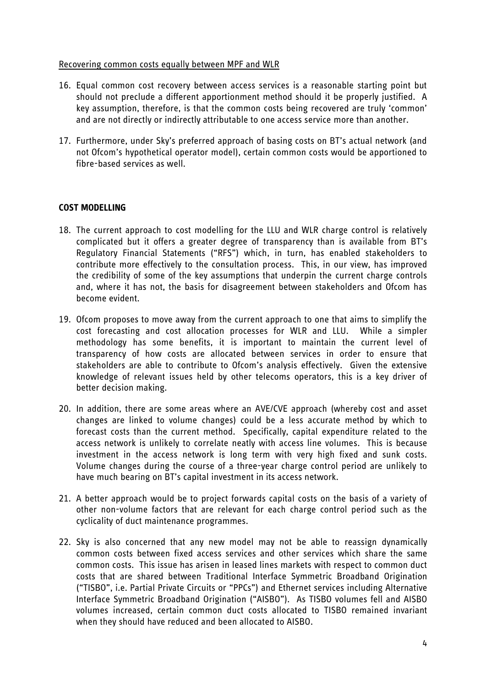#### Recovering common costs equally between MPF and WLR

- 16. Equal common cost recovery between access services is a reasonable starting point but should not preclude a different apportionment method should it be properly justified. A key assumption, therefore, is that the common costs being recovered are truly 'common' and are not directly or indirectly attributable to one access service more than another.
- 17. Furthermore, under Sky's preferred approach of basing costs on BT's actual network (and not Ofcom's hypothetical operator model), certain common costs would be apportioned to fibre-based services as well.

### **COST MODELLING**

- 18. The current approach to cost modelling for the LLU and WLR charge control is relatively complicated but it offers a greater degree of transparency than is available from BT's Regulatory Financial Statements ("RFS") which, in turn, has enabled stakeholders to contribute more effectively to the consultation process. This, in our view, has improved the credibility of some of the key assumptions that underpin the current charge controls and, where it has not, the basis for disagreement between stakeholders and Ofcom has become evident.
- 19. Ofcom proposes to move away from the current approach to one that aims to simplify the cost forecasting and cost allocation processes for WLR and LLU. While a simpler methodology has some benefits, it is important to maintain the current level of transparency of how costs are allocated between services in order to ensure that stakeholders are able to contribute to Ofcom's analysis effectively. Given the extensive knowledge of relevant issues held by other telecoms operators, this is a key driver of better decision making.
- 20. In addition, there are some areas where an AVE/CVE approach (whereby cost and asset changes are linked to volume changes) could be a less accurate method by which to forecast costs than the current method. Specifically, capital expenditure related to the access network is unlikely to correlate neatly with access line volumes. This is because investment in the access network is long term with very high fixed and sunk costs. Volume changes during the course of a three-year charge control period are unlikely to have much bearing on BT's capital investment in its access network.
- 21. A better approach would be to project forwards capital costs on the basis of a variety of other non-volume factors that are relevant for each charge control period such as the cyclicality of duct maintenance programmes.
- 22. Sky is also concerned that any new model may not be able to reassign dynamically common costs between fixed access services and other services which share the same common costs. This issue has arisen in leased lines markets with respect to common duct costs that are shared between Traditional Interface Symmetric Broadband Origination ("TISBO", i.e. Partial Private Circuits or "PPCs") and Ethernet services including Alternative Interface Symmetric Broadband Origination ("AISBO"). As TISBO volumes fell and AISBO volumes increased, certain common duct costs allocated to TISBO remained invariant when they should have reduced and been allocated to AISBO.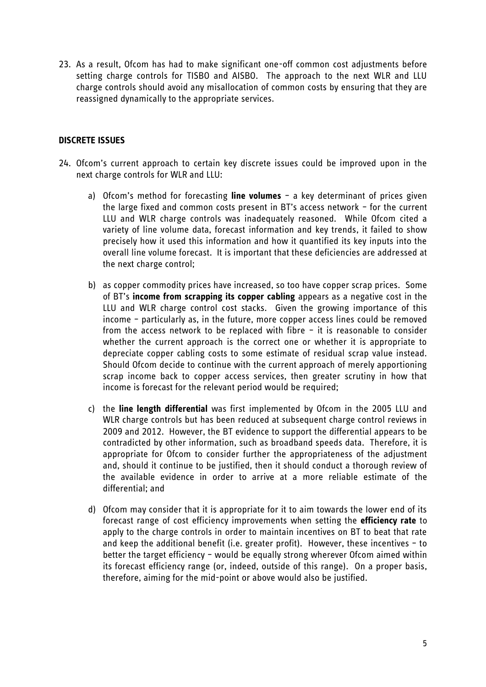23. As a result, Ofcom has had to make significant one-off common cost adjustments before setting charge controls for TISBO and AISBO. The approach to the next WLR and LLU charge controls should avoid any misallocation of common costs by ensuring that they are reassigned dynamically to the appropriate services.

### **DISCRETE ISSUES**

- 24. Ofcom's current approach to certain key discrete issues could be improved upon in the next charge controls for WLR and LLU:
	- a) Ofcom's method for forecasting **line volumes** a key determinant of prices given the large fixed and common costs present in BT's access network – for the current LLU and WLR charge controls was inadequately reasoned. While Ofcom cited a variety of line volume data, forecast information and key trends, it failed to show precisely how it used this information and how it quantified its key inputs into the overall line volume forecast. It is important that these deficiencies are addressed at the next charge control;
	- b) as copper commodity prices have increased, so too have copper scrap prices. Some of BT's **income from scrapping its copper cabling** appears as a negative cost in the LLU and WLR charge control cost stacks. Given the growing importance of this income – particularly as, in the future, more copper access lines could be removed from the access network to be replaced with fibre – it is reasonable to consider whether the current approach is the correct one or whether it is appropriate to depreciate copper cabling costs to some estimate of residual scrap value instead. Should Ofcom decide to continue with the current approach of merely apportioning scrap income back to copper access services, then greater scrutiny in how that income is forecast for the relevant period would be required;
	- c) the **line length differential** was first implemented by Ofcom in the 2005 LLU and WLR charge controls but has been reduced at subsequent charge control reviews in 2009 and 2012. However, the BT evidence to support the differential appears to be contradicted by other information, such as broadband speeds data. Therefore, it is appropriate for Ofcom to consider further the appropriateness of the adjustment and, should it continue to be justified, then it should conduct a thorough review of the available evidence in order to arrive at a more reliable estimate of the differential; and
	- d) Ofcom may consider that it is appropriate for it to aim towards the lower end of its forecast range of cost efficiency improvements when setting the **efficiency rate** to apply to the charge controls in order to maintain incentives on BT to beat that rate and keep the additional benefit (i.e. greater profit). However, these incentives – to better the target efficiency – would be equally strong wherever Ofcom aimed within its forecast efficiency range (or, indeed, outside of this range). On a proper basis, therefore, aiming for the mid-point or above would also be justified.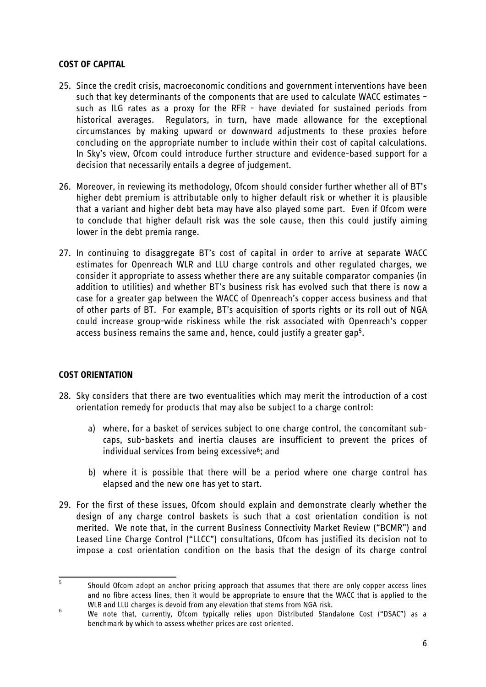### **COST OF CAPITAL**

- 25. Since the credit crisis, macroeconomic conditions and government interventions have been such that key determinants of the components that are used to calculate WACC estimates – such as ILG rates as a proxy for the RFR - have deviated for sustained periods from historical averages. Regulators, in turn, have made allowance for the exceptional circumstances by making upward or downward adjustments to these proxies before concluding on the appropriate number to include within their cost of capital calculations. In Sky's view, Ofcom could introduce further structure and evidence-based support for a decision that necessarily entails a degree of judgement.
- 26. Moreover, in reviewing its methodology, Ofcom should consider further whether all of BT's higher debt premium is attributable only to higher default risk or whether it is plausible that a variant and higher debt beta may have also played some part. Even if Ofcom were to conclude that higher default risk was the sole cause, then this could justify aiming lower in the debt premia range.
- 27. In continuing to disaggregate BT's cost of capital in order to arrive at separate WACC estimates for Openreach WLR and LLU charge controls and other regulated charges, we consider it appropriate to assess whether there are any suitable comparator companies (in addition to utilities) and whether BT's business risk has evolved such that there is now a case for a greater gap between the WACC of Openreach's copper access business and that of other parts of BT. For example, BT's acquisition of sports rights or its roll out of NGA could increase group-wide riskiness while the risk associated with Openreach's copper access business remains the same and, hence, could justify a greater gap5.

### **COST ORIENTATION**

- 28. Sky considers that there are two eventualities which may merit the introduction of a cost orientation remedy for products that may also be subject to a charge control:
	- a) where, for a basket of services subject to one charge control, the concomitant subcaps, sub-baskets and inertia clauses are insufficient to prevent the prices of individual services from being excessive<sup>6</sup>; and
	- b) where it is possible that there will be a period where one charge control has elapsed and the new one has yet to start.
- 29. For the first of these issues, Ofcom should explain and demonstrate clearly whether the design of any charge control baskets is such that a cost orientation condition is not merited. We note that, in the current Business Connectivity Market Review ("BCMR") and Leased Line Charge Control ("LLCC") consultations, Ofcom has justified its decision not to impose a cost orientation condition on the basis that the design of its charge control

<sup>-&</sup>lt;br>5 Should Ofcom adopt an anchor pricing approach that assumes that there are only copper access lines and no fibre access lines, then it would be appropriate to ensure that the WACC that is applied to the WLR and LLU charges is devoid from any elevation that stems from NGA risk.

<sup>6</sup> We note that, currently, Ofcom typically relies upon Distributed Standalone Cost ("DSAC") as a benchmark by which to assess whether prices are cost oriented.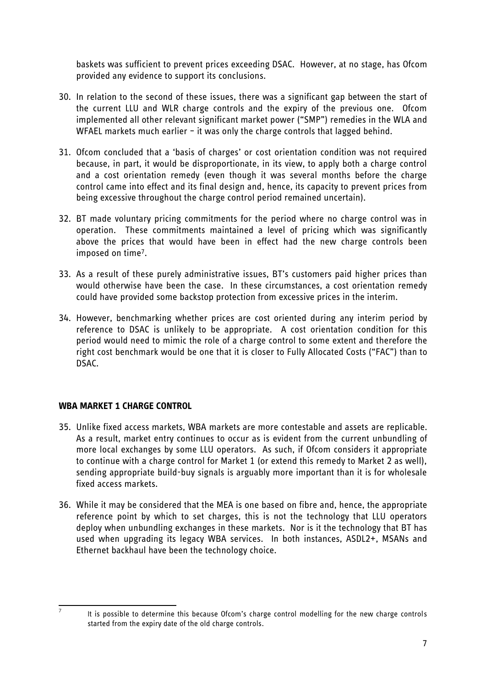baskets was sufficient to prevent prices exceeding DSAC. However, at no stage, has Ofcom provided any evidence to support its conclusions.

- 30. In relation to the second of these issues, there was a significant gap between the start of the current LLU and WLR charge controls and the expiry of the previous one. Ofcom implemented all other relevant significant market power ("SMP") remedies in the WLA and WFAEL markets much earlier – it was only the charge controls that lagged behind.
- 31. Ofcom concluded that a 'basis of charges' or cost orientation condition was not required because, in part, it would be disproportionate, in its view, to apply both a charge control and a cost orientation remedy (even though it was several months before the charge control came into effect and its final design and, hence, its capacity to prevent prices from being excessive throughout the charge control period remained uncertain).
- 32. BT made voluntary pricing commitments for the period where no charge control was in operation. These commitments maintained a level of pricing which was significantly above the prices that would have been in effect had the new charge controls been imposed on time7.
- 33. As a result of these purely administrative issues, BT's customers paid higher prices than would otherwise have been the case. In these circumstances, a cost orientation remedy could have provided some backstop protection from excessive prices in the interim.
- 34. However, benchmarking whether prices are cost oriented during any interim period by reference to DSAC is unlikely to be appropriate. A cost orientation condition for this period would need to mimic the role of a charge control to some extent and therefore the right cost benchmark would be one that it is closer to Fully Allocated Costs ("FAC") than to DSAC.

# **WBA MARKET 1 CHARGE CONTROL**

- 35. Unlike fixed access markets, WBA markets are more contestable and assets are replicable. As a result, market entry continues to occur as is evident from the current unbundling of more local exchanges by some LLU operators. As such, if Ofcom considers it appropriate to continue with a charge control for Market 1 (or extend this remedy to Market 2 as well), sending appropriate build-buy signals is arguably more important than it is for wholesale fixed access markets.
- 36. While it may be considered that the MEA is one based on fibre and, hence, the appropriate reference point by which to set charges, this is not the technology that LLU operators deploy when unbundling exchanges in these markets. Nor is it the technology that BT has used when upgrading its legacy WBA services. In both instances, ASDL2+, MSANs and Ethernet backhaul have been the technology choice.

<sup>–&</sup>lt;br>7

It is possible to determine this because Ofcom's charge control modelling for the new charge controls started from the expiry date of the old charge controls.